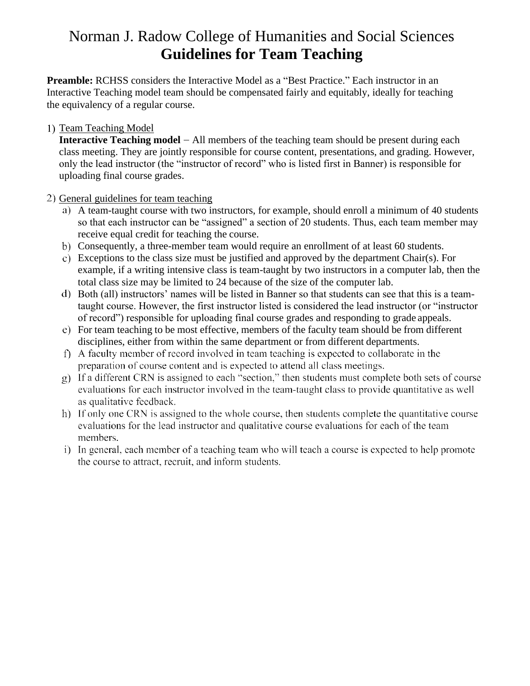## Norman J. Radow College of Humanities and Social Sciences **Guidelines for Team Teaching**

**Preamble:** RCHSS considers the Interactive Model as a "Best Practice." Each instructor in an Interactive Teaching model team should be compensated fairly and equitably, ideally for teaching the equivalency of a regular course.

## 1) Team Teaching Model

**Interactive Teaching model**  $-$  All members of the teaching team should be present during each class meeting. They are jointly responsible for course content, presentations, and grading. However, only the lead instructor (the "instructor of record" who is listed first in Banner) is responsible for uploading final course grades.

### 2) General guidelines for team teaching

- A team-taught course with two instructors, for example, should enroll a minimum of 40 students so that each instructor can be "assigned" a section of 20 students. Thus, each team member may receive equal credit for teaching the course.
- Consequently, a three-member team would require an enrollment of at least 60 students.
- Exceptions to the class size must be justified and approved by the department Chair(s). For example, if a writing intensive class is team-taught by two instructors in a computer lab, then the total class size may be limited to 24 because of the size of the computer lab.
- Both (all) instructors' names will be listed in Banner so that students can see that this is a teamtaught course. However, the first instructor listed is considered the lead instructor (or "instructor of record") responsible for uploading final course grades and responding to grade appeals.
- For team teaching to be most effective, members of the faculty team should be from different disciplines, either from within the same department or from different departments.
- f) A faculty member of record involved in team teaching is expected to collaborate in the preparation of course content and is expected to attend all class meetings.
- g) If a different CRN is assigned to each "section," then students must complete both sets of course evaluations for each instructor involved in the team-taught class to provide quantitative as well as qualitative feedback.
- h) If only one CRN is assigned to the whole course, then students complete the quantitative course evaluations for the lead instructor and qualitative course evaluations for each of the team members.
- i) In general, each member of a teaching team who will teach a course is expected to help promote the course to attract, recruit, and inform students.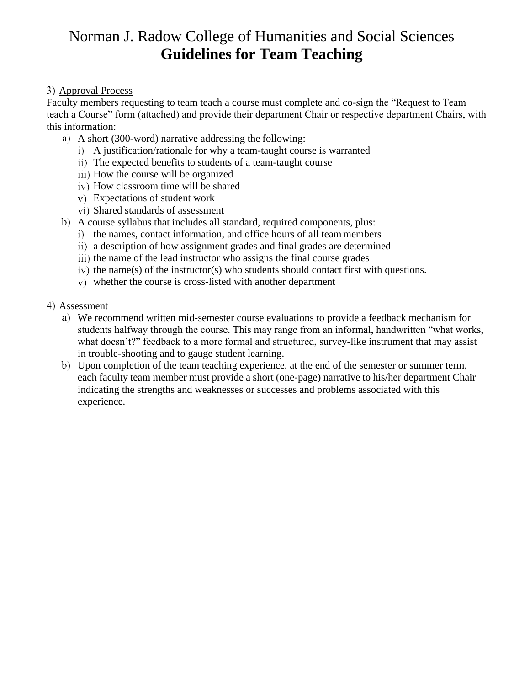# Norman J. Radow College of Humanities and Social Sciences **Guidelines for Team Teaching**

### 3) Approval Process

Faculty members requesting to team teach a course must complete and co-sign the "Request to Team teach a Course" form (attached) and provide their department Chair or respective department Chairs, with this information:

- A short (300-word) narrative addressing the following:
	- A justification/rationale for why a team-taught course is warranted
	- ii) The expected benefits to students of a team-taught course
	- iii) How the course will be organized
	- iv) How classroom time will be shared
	- Expectations of student work
	- vi) Shared standards of assessment
- A course syllabus that includes all standard, required components, plus:
	- i) the names, contact information, and office hours of all team members
	- a description of how assignment grades and final grades are determined
	- iii) the name of the lead instructor who assigns the final course grades
	- $\dot{x}$  iv) the name(s) of the instructor(s) who students should contact first with questions.
	- whether the course is cross-listed with another department
- 4) Assessment
	- We recommend written mid-semester course evaluations to provide a feedback mechanism for students halfway through the course. This may range from an informal, handwritten "what works, what doesn't?" feedback to a more formal and structured, survey-like instrument that may assist in trouble-shooting and to gauge student learning.
	- b) Upon completion of the team teaching experience, at the end of the semester or summer term, each faculty team member must provide a short (one-page) narrative to his/her department Chair indicating the strengths and weaknesses or successes and problems associated with this experience.